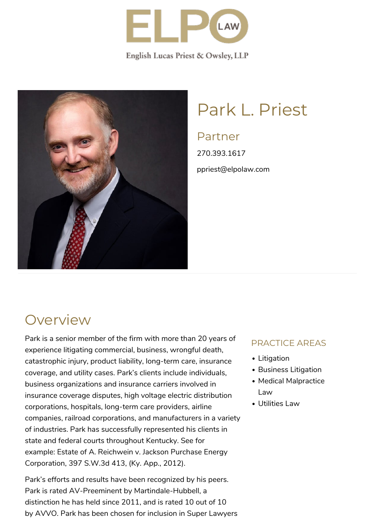

English Lucas Priest & Owsley, LLP



# Park L. Priest

### Partner

270.393.1617 ppriest@elpolaw.com

### **Overview**

Park is a senior member of the firm with more than 20 years of experience litigating commercial, business, wrongful death, catastrophic injury, product liability, long-term care, insurance coverage, and utility cases. Park's clients include individuals, business organizations and insurance carriers involved in insurance coverage disputes, high voltage electric distribution corporations, hospitals, long-term care providers, airline companies, railroad corporations, and manufacturers in a variety of industries. Park has successfully represented his clients in state and federal courts throughout Kentucky. See for example: [Estate of A. Reichwein v. Jackson Purchase Energy](https://www.judicialview.com/State-Cases/kentucky/Energy__Utilities/Reichwein-v-Jackson-Purchase-Energy-Corporation/23/564059) [Corporation, 397 S.W.3d 413, \(Ky. App., 2012\).](https://www.judicialview.com/State-Cases/kentucky/Energy__Utilities/Reichwein-v-Jackson-Purchase-Energy-Corporation/23/564059)

Park's efforts and results have been recognized by his peers. Park is rated AV-Preeminent by [Martindale-Hubbell](https://www.martindale.com/), a distinction he has held since 2011, and is rated 10 out of 10 by [AVVO](https://www.avvo.com/attorneys/42101-ky-park-priest-4764047.html). Park has been chosen for inclusion in Super Lawyers

#### PRACTICE AREAS

- Litigation
- Business Litigation
- Medical Malpractice Law
- Utilities Law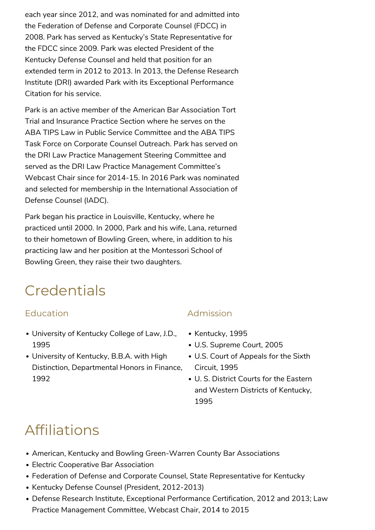each year since 2012, and was nominated for and admitted into the Federation of Defense and Corporate Counsel (FDCC) in 2008. Park has served as Kentucky's State Representative for the FDCC since 2009. Park was elected President of the Kentucky Defense Counsel and held that position for an extended term in 2012 to 2013. In 2013, the Defense Research Institute (DRI) awarded Park with its Exceptional Performance Citation for his service.

Park is an active member of the American Bar Association Tort Trial and Insurance Practice Section where he serves on the ABA TIPS Law in Public Service Committee and the ABA TIPS Task Force on Corporate Counsel Outreach. Park has served on the DRI Law Practice Management Steering Committee and served as the DRI Law Practice Management Committee's Webcast Chair since for 2014-15. In 2016 Park was nominated and selected for membership in the International Association of Defense Counsel (IADC).

Park began his practice in Louisville, Kentucky, where he practiced until 2000. In 2000, Park and his wife, Lana, returned to their hometown of Bowling Green, where, in addition to his practicing law and her position at the Montessori School of Bowling Green, they raise their two daughters.

### **Credentials**

#### Education

- [University of Kentucky College of Law,](http://www.law.uky.edu/) J.D., 1995
- [University of Kentucky,](http://www.uky.edu/) B.B.A. with High Distinction, Departmental Honors in Finance, 1992

#### Admission

- Kentucky, 1995
- U.S. Supreme Court, 2005
- U.S. Court of Appeals for the Sixth Circuit, 1995
- U. S. District Courts for the Eastern and Western Districts of Kentucky, 1995

## Affiliations

- [American](http://www.americanbar.org/), [Kentucky](http://www.kybar.org/) and [Bowling Green-Warren County Bar Associations](http://www.bg-bar.com/)
- [Electric Cooperative Bar Association](http://www.nreca.coop/programs/ECBA/Pages/default.aspx)
- [Federation of Defense and Corporate Counsel,](http://www.thefederation.org/process.cfm?PageID=1) State Representative for Kentucky
- Kentucky Defense Counsel (President, 2012-2013)
- [Defense Research Institute,](http://www.dri.org/) Exceptional Performance Certification, 2012 and 2013; Law Practice Management Committee, Webcast Chair, 2014 to 2015